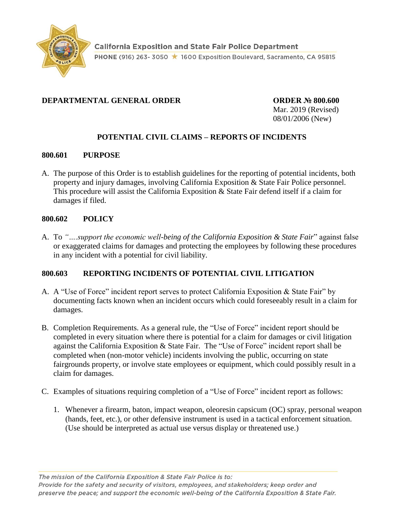

## **DEPARTMENTAL GENERAL ORDER CORDER Nº 800.600**

Mar. 2019 (Revised) 08/01/2006 (New)

# **POTENTIAL CIVIL CLAIMS – REPORTS OF INCIDENTS**

#### **800.601 PURPOSE**

A. The purpose of this Order is to establish guidelines for the reporting of potential incidents, both property and injury damages, involving California Exposition & State Fair Police personnel. This procedure will assist the California Exposition & State Fair defend itself if a claim for damages if filed.

### **800.602 POLICY**

A. To *"….support the economic well-being of the California Exposition & State Fair*" against false or exaggerated claims for damages and protecting the employees by following these procedures in any incident with a potential for civil liability.

### **800.603 REPORTING INCIDENTS OF POTENTIAL CIVIL LITIGATION**

- A. A "Use of Force" incident report serves to protect California Exposition & State Fair" by documenting facts known when an incident occurs which could foreseeably result in a claim for damages.
- B. Completion Requirements. As a general rule, the "Use of Force" incident report should be completed in every situation where there is potential for a claim for damages or civil litigation against the California Exposition & State Fair. The "Use of Force" incident report shall be completed when (non-motor vehicle) incidents involving the public, occurring on state fairgrounds property, or involve state employees or equipment, which could possibly result in a claim for damages.
- C. Examples of situations requiring completion of a "Use of Force" incident report as follows:
	- 1. Whenever a firearm, baton, impact weapon, oleoresin capsicum (OC) spray, personal weapon (hands, feet, etc.), or other defensive instrument is used in a tactical enforcement situation. (Use should be interpreted as actual use versus display or threatened use.)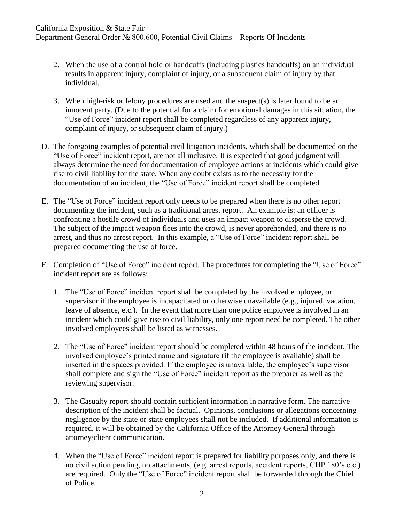### California Exposition & State Fair

Department General Order № 800.600, Potential Civil Claims – Reports Of Incidents

- 2. When the use of a control hold or handcuffs (including plastics handcuffs) on an individual results in apparent injury, complaint of injury, or a subsequent claim of injury by that individual.
- 3. When high-risk or felony procedures are used and the suspect(s) is later found to be an innocent party. (Due to the potential for a claim for emotional damages in this situation, the "Use of Force" incident report shall be completed regardless of any apparent injury, complaint of injury, or subsequent claim of injury.)
- D. The foregoing examples of potential civil litigation incidents, which shall be documented on the "Use of Force" incident report, are not all inclusive. It is expected that good judgment will always determine the need for documentation of employee actions at incidents which could give rise to civil liability for the state. When any doubt exists as to the necessity for the documentation of an incident, the "Use of Force" incident report shall be completed.
- E. The "Use of Force" incident report only needs to be prepared when there is no other report documenting the incident, such as a traditional arrest report. An example is: an officer is confronting a hostile crowd of individuals and uses an impact weapon to disperse the crowd. The subject of the impact weapon flees into the crowd, is never apprehended, and there is no arrest, and thus no arrest report. In this example, a "Use of Force" incident report shall be prepared documenting the use of force.
- F. Completion of "Use of Force" incident report. The procedures for completing the "Use of Force" incident report are as follows:
	- 1. The "Use of Force" incident report shall be completed by the involved employee, or supervisor if the employee is incapacitated or otherwise unavailable (e.g., injured, vacation, leave of absence, etc.). In the event that more than one police employee is involved in an incident which could give rise to civil liability, only one report need be completed. The other involved employees shall be listed as witnesses.
	- 2. The "Use of Force" incident report should be completed within 48 hours of the incident. The involved employee's printed name and signature (if the employee is available) shall be inserted in the spaces provided. If the employee is unavailable, the employee's supervisor shall complete and sign the "Use of Force" incident report as the preparer as well as the reviewing supervisor.
	- 3. The Casualty report should contain sufficient information in narrative form. The narrative description of the incident shall be factual. Opinions, conclusions or allegations concerning negligence by the state or state employees shall not be included. If additional information is required, it will be obtained by the California Office of the Attorney General through attorney/client communication.
	- 4. When the "Use of Force" incident report is prepared for liability purposes only, and there is no civil action pending, no attachments, (e.g. arrest reports, accident reports, CHP 180's etc.) are required. Only the "Use of Force" incident report shall be forwarded through the Chief of Police.